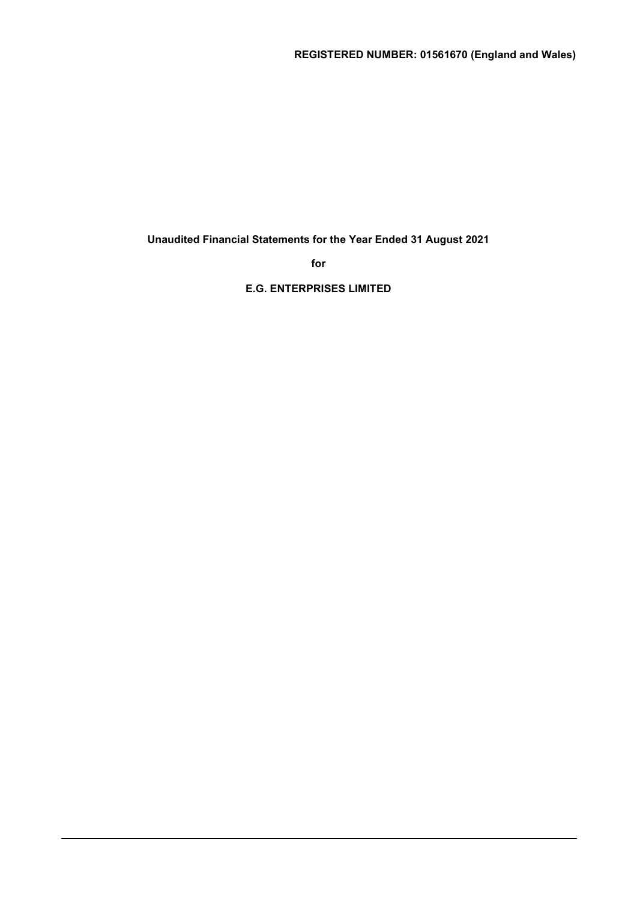Unaudited Financial Statements for the Year Ended 31 August 2021

for

E.G. ENTERPRISES LIMITED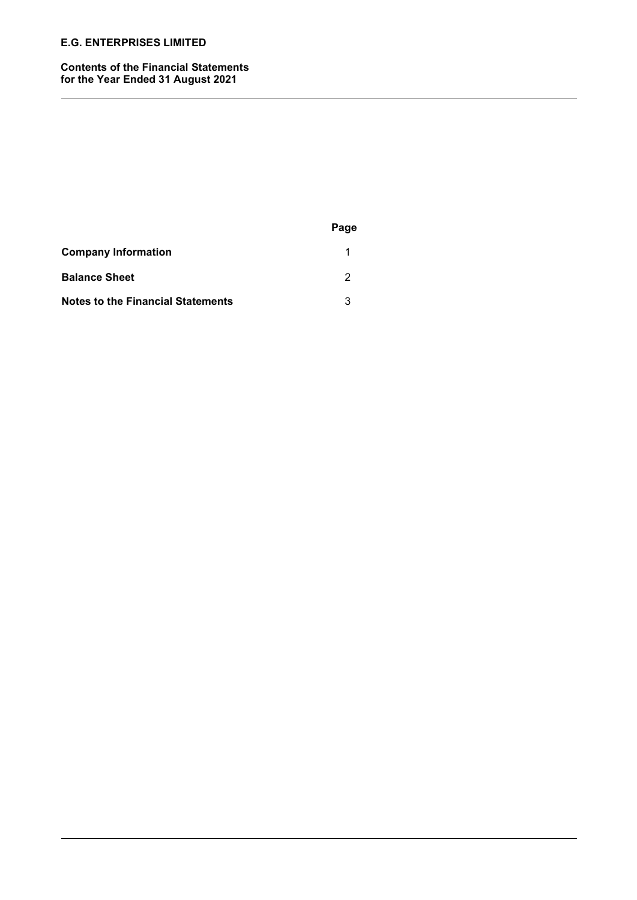#### Contents of the Financial Statements for the Year Ended 31 August 2021

|                                          | Page |
|------------------------------------------|------|
| <b>Company Information</b>               |      |
| <b>Balance Sheet</b>                     | 2    |
| <b>Notes to the Financial Statements</b> | 3    |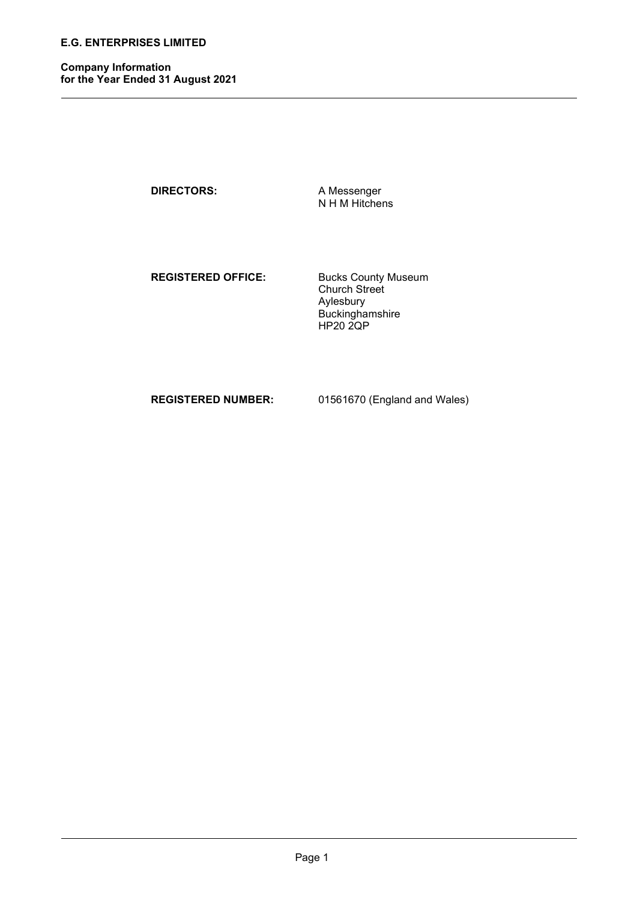Company Information for the Year Ended 31 August 2021

DIRECTORS: A Messenger

N H M Hitchens

REGISTERED OFFICE: Bucks County Museum

 Church Street Aylesbury Buckinghamshire HP20 2QP

REGISTERED NUMBER: 01561670 (England and Wales)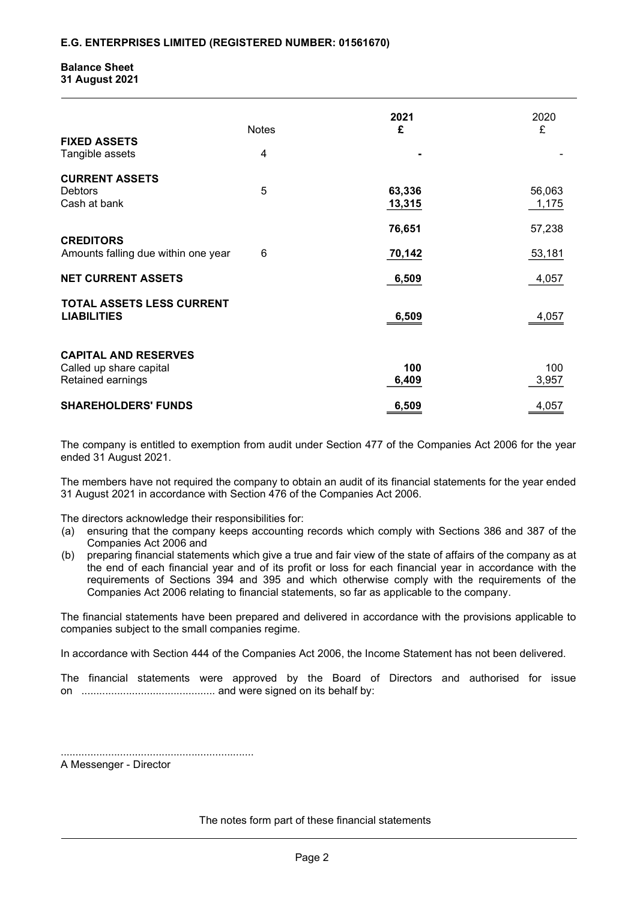#### Balance Sheet 31 August 2021

|                                     |              | 2021   | 2020   |
|-------------------------------------|--------------|--------|--------|
|                                     | <b>Notes</b> | £      | £      |
| <b>FIXED ASSETS</b>                 |              |        |        |
| Tangible assets                     | 4            |        |        |
| <b>CURRENT ASSETS</b>               |              |        |        |
| <b>Debtors</b>                      | 5            | 63,336 | 56,063 |
| Cash at bank                        |              | 13,315 | 1,175  |
|                                     |              |        |        |
|                                     |              | 76,651 | 57,238 |
| <b>CREDITORS</b>                    |              |        |        |
| Amounts falling due within one year | 6            | 70,142 | 53,181 |
|                                     |              |        |        |
| <b>NET CURRENT ASSETS</b>           |              | 6,509  | 4,057  |
|                                     |              |        |        |
| <b>TOTAL ASSETS LESS CURRENT</b>    |              |        |        |
| <b>LIABILITIES</b>                  |              | 6,509  | 4,057  |
|                                     |              |        |        |
|                                     |              |        |        |
| <b>CAPITAL AND RESERVES</b>         |              |        |        |
| Called up share capital             |              | 100    | 100    |
| Retained earnings                   |              | 6,409  | 3,957  |
|                                     |              |        |        |
| <b>SHAREHOLDERS' FUNDS</b>          |              | 6,509  | 4,057  |

The company is entitled to exemption from audit under Section 477 of the Companies Act 2006 for the year ended 31 August 2021.

The members have not required the company to obtain an audit of its financial statements for the year ended 31 August 2021 in accordance with Section 476 of the Companies Act 2006.

The directors acknowledge their responsibilities for:

- (a) ensuring that the company keeps accounting records which comply with Sections 386 and 387 of the Companies Act 2006 and
- (b) preparing financial statements which give a true and fair view of the state of affairs of the company as at the end of each financial year and of its profit or loss for each financial year in accordance with the requirements of Sections 394 and 395 and which otherwise comply with the requirements of the Companies Act 2006 relating to financial statements, so far as applicable to the company.

The financial statements have been prepared and delivered in accordance with the provisions applicable to companies subject to the small companies regime.

In accordance with Section 444 of the Companies Act 2006, the Income Statement has not been delivered.

The financial statements were approved by the Board of Directors and authorised for issue on ............................................. and were signed on its behalf by:

................................................................. A Messenger - Director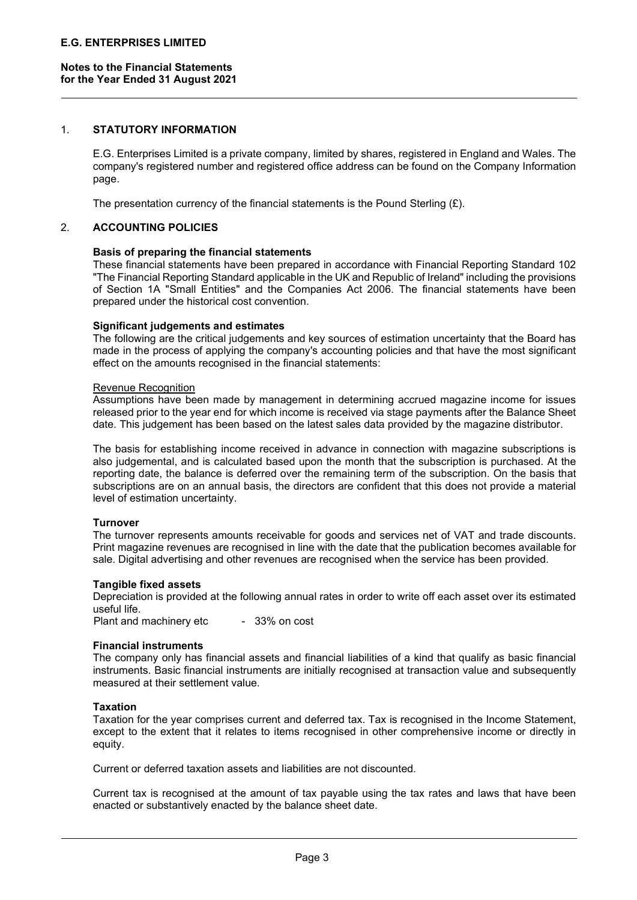#### 1. STATUTORY INFORMATION

E.G. Enterprises Limited is a private company, limited by shares, registered in England and Wales. The company's registered number and registered office address can be found on the Company Information page.

The presentation currency of the financial statements is the Pound Sterling  $(E)$ .

## 2. ACCOUNTING POLICIES

#### Basis of preparing the financial statements

These financial statements have been prepared in accordance with Financial Reporting Standard 102 "The Financial Reporting Standard applicable in the UK and Republic of Ireland" including the provisions of Section 1A "Small Entities" and the Companies Act 2006. The financial statements have been prepared under the historical cost convention.

#### Significant judgements and estimates

The following are the critical judgements and key sources of estimation uncertainty that the Board has made in the process of applying the company's accounting policies and that have the most significant effect on the amounts recognised in the financial statements:

#### Revenue Recognition

Assumptions have been made by management in determining accrued magazine income for issues released prior to the year end for which income is received via stage payments after the Balance Sheet date. This judgement has been based on the latest sales data provided by the magazine distributor.

The basis for establishing income received in advance in connection with magazine subscriptions is also judgemental, and is calculated based upon the month that the subscription is purchased. At the reporting date, the balance is deferred over the remaining term of the subscription. On the basis that subscriptions are on an annual basis, the directors are confident that this does not provide a material level of estimation uncertainty.

#### Turnover

The turnover represents amounts receivable for goods and services net of VAT and trade discounts. Print magazine revenues are recognised in line with the date that the publication becomes available for sale. Digital advertising and other revenues are recognised when the service has been provided.

#### Tangible fixed assets

Depreciation is provided at the following annual rates in order to write off each asset over its estimated useful life.

Plant and machinery etc - 33% on cost

#### Financial instruments

The company only has financial assets and financial liabilities of a kind that qualify as basic financial instruments. Basic financial instruments are initially recognised at transaction value and subsequently measured at their settlement value.

#### **Taxation**

Taxation for the year comprises current and deferred tax. Tax is recognised in the Income Statement, except to the extent that it relates to items recognised in other comprehensive income or directly in equity.

Current or deferred taxation assets and liabilities are not discounted.

Current tax is recognised at the amount of tax payable using the tax rates and laws that have been enacted or substantively enacted by the balance sheet date.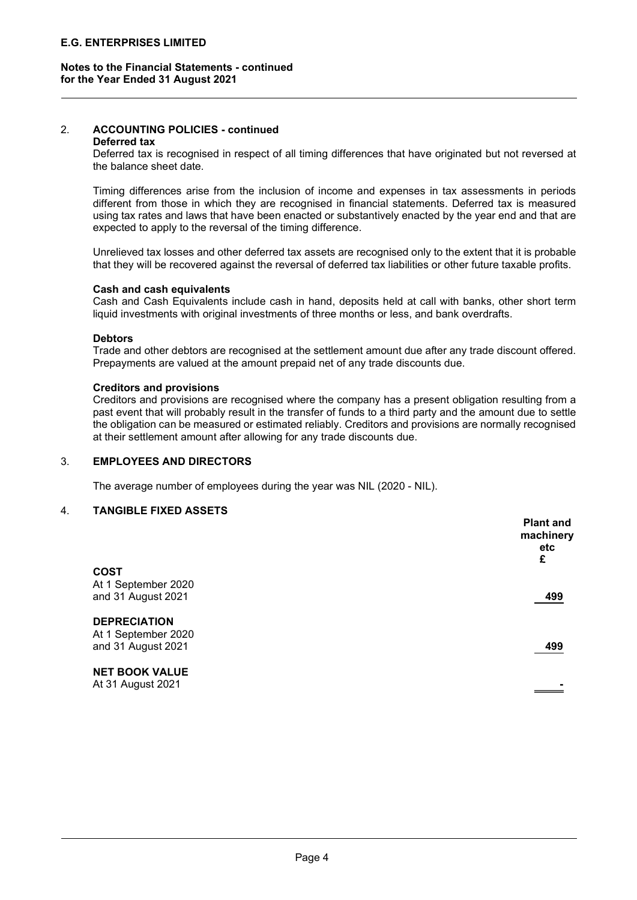## Notes to the Financial Statements - continued for the Year Ended 31 August 2021

# 2. ACCOUNTING POLICIES - continued

#### Deferred tax

Deferred tax is recognised in respect of all timing differences that have originated but not reversed at the balance sheet date.

Timing differences arise from the inclusion of income and expenses in tax assessments in periods different from those in which they are recognised in financial statements. Deferred tax is measured using tax rates and laws that have been enacted or substantively enacted by the year end and that are expected to apply to the reversal of the timing difference.

Unrelieved tax losses and other deferred tax assets are recognised only to the extent that it is probable that they will be recovered against the reversal of deferred tax liabilities or other future taxable profits.

## Cash and cash equivalents

Cash and Cash Equivalents include cash in hand, deposits held at call with banks, other short term liquid investments with original investments of three months or less, and bank overdrafts.

#### **Debtors**

Trade and other debtors are recognised at the settlement amount due after any trade discount offered. Prepayments are valued at the amount prepaid net of any trade discounts due.

#### Creditors and provisions

Creditors and provisions are recognised where the company has a present obligation resulting from a past event that will probably result in the transfer of funds to a third party and the amount due to settle the obligation can be measured or estimated reliably. Creditors and provisions are normally recognised at their settlement amount after allowing for any trade discounts due.

#### 3. EMPLOYEES AND DIRECTORS

The average number of employees during the year was NIL (2020 - NIL).

## 4. TANGIBLE FIXED ASSETS

|                       | <b>Plant and</b><br>machinery<br>etc<br>£ |
|-----------------------|-------------------------------------------|
| <b>COST</b>           |                                           |
| At 1 September 2020   |                                           |
| and 31 August 2021    | 499                                       |
| <b>DEPRECIATION</b>   |                                           |
| At 1 September 2020   |                                           |
| and 31 August 2021    | 499                                       |
| <b>NET BOOK VALUE</b> |                                           |
| At 31 August 2021     |                                           |